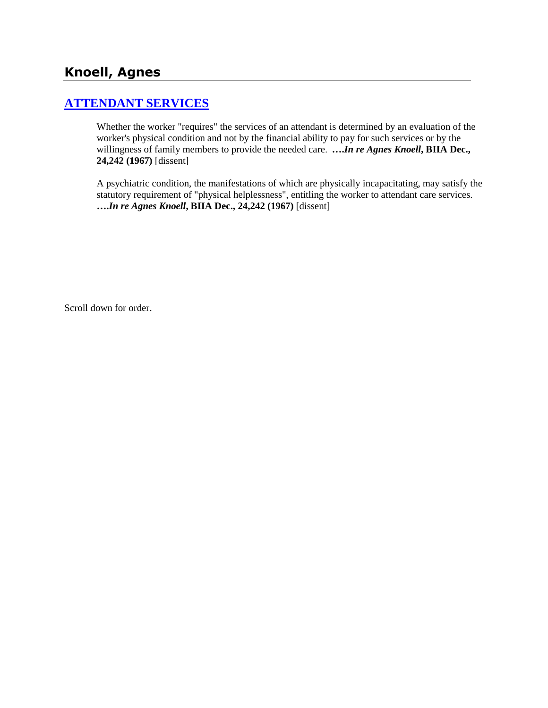# **[ATTENDANT SERVICES](http://www.biia.wa.gov/SDSubjectIndex.html#ATTENDANT_SERVICES)**

Whether the worker "requires" the services of an attendant is determined by an evaluation of the worker's physical condition and not by the financial ability to pay for such services or by the willingness of family members to provide the needed care. **….***In re Agnes Knoell***, BIIA Dec., 24,242 (1967)** [dissent]

A psychiatric condition, the manifestations of which are physically incapacitating, may satisfy the statutory requirement of "physical helplessness", entitling the worker to attendant care services. **….***In re Agnes Knoell***, BIIA Dec., 24,242 (1967)** [dissent]

Scroll down for order.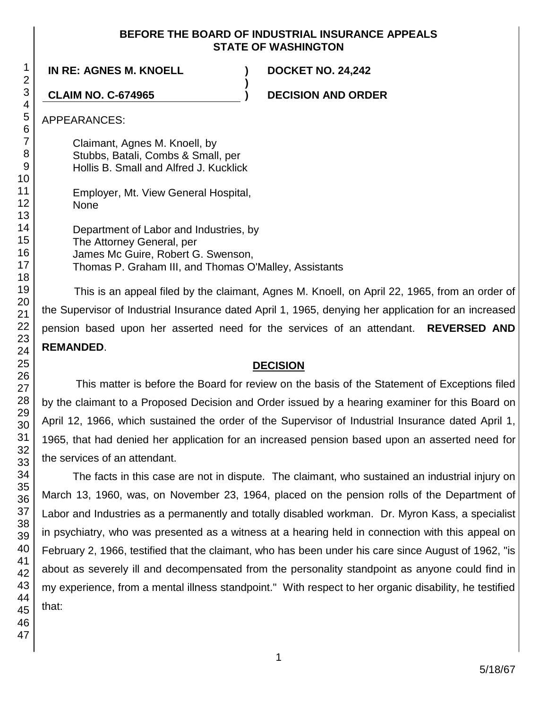#### **BEFORE THE BOARD OF INDUSTRIAL INSURANCE APPEALS STATE OF WASHINGTON**

**)**

**IN RE: AGNES M. KNOELL ) DOCKET NO. 24,242**

**CLAIM NO. C-674965 ) DECISION AND ORDER**

APPEARANCES:

Claimant, Agnes M. Knoell, by Stubbs, Batali, Combs & Small, per Hollis B. Small and Alfred J. Kucklick

Employer, Mt. View General Hospital, None

Department of Labor and Industries, by The Attorney General, per James Mc Guire, Robert G. Swenson, Thomas P. Graham III, and Thomas O'Malley, Assistants

This is an appeal filed by the claimant, Agnes M. Knoell, on April 22, 1965, from an order of the Supervisor of Industrial Insurance dated April 1, 1965, denying her application for an increased pension based upon her asserted need for the services of an attendant. **REVERSED AND REMANDED**.

#### **DECISION**

This matter is before the Board for review on the basis of the Statement of Exceptions filed by the claimant to a Proposed Decision and Order issued by a hearing examiner for this Board on April 12, 1966, which sustained the order of the Supervisor of Industrial Insurance dated April 1, 1965, that had denied her application for an increased pension based upon an asserted need for the services of an attendant.

The facts in this case are not in dispute. The claimant, who sustained an industrial injury on March 13, 1960, was, on November 23, 1964, placed on the pension rolls of the Department of Labor and Industries as a permanently and totally disabled workman. Dr. Myron Kass, a specialist in psychiatry, who was presented as a witness at a hearing held in connection with this appeal on February 2, 1966, testified that the claimant, who has been under his care since August of 1962, "is about as severely ill and decompensated from the personality standpoint as anyone could find in my experience, from a mental illness standpoint." With respect to her organic disability, he testified that: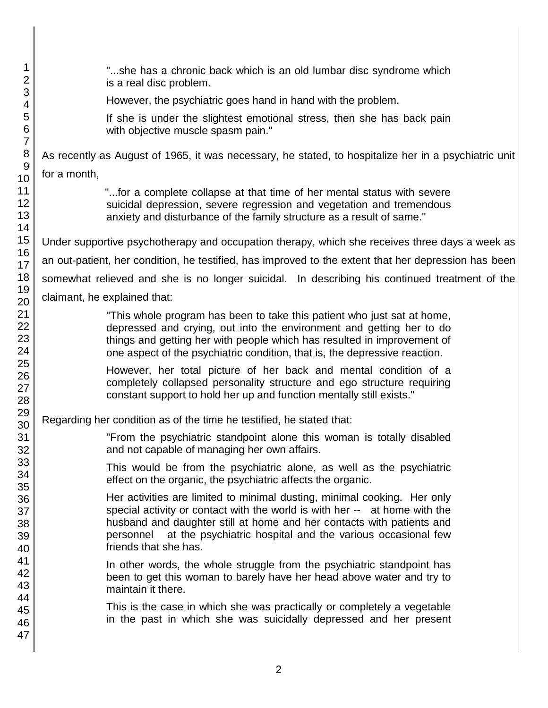| 1<br>$\overline{2}$                    | "she has a chronic back which is an old lumbar disc syndrome which<br>is a real disc problem.                                                                                                                                                                                                                                    |
|----------------------------------------|----------------------------------------------------------------------------------------------------------------------------------------------------------------------------------------------------------------------------------------------------------------------------------------------------------------------------------|
| 3<br>4                                 | However, the psychiatric goes hand in hand with the problem.                                                                                                                                                                                                                                                                     |
| 5<br>$6\phantom{1}6$<br>$\overline{7}$ | If she is under the slightest emotional stress, then she has back pain<br>with objective muscle spasm pain."                                                                                                                                                                                                                     |
| 8                                      | As recently as August of 1965, it was necessary, he stated, to hospitalize her in a psychiatric unit                                                                                                                                                                                                                             |
| 9                                      | for a month,                                                                                                                                                                                                                                                                                                                     |
| 10<br>11                               |                                                                                                                                                                                                                                                                                                                                  |
| 12<br>13                               | "for a complete collapse at that time of her mental status with severe<br>suicidal depression, severe regression and vegetation and tremendous<br>anxiety and disturbance of the family structure as a result of same."                                                                                                          |
| 14<br>15                               |                                                                                                                                                                                                                                                                                                                                  |
| 16                                     | Under supportive psychotherapy and occupation therapy, which she receives three days a week as                                                                                                                                                                                                                                   |
| 17                                     | an out-patient, her condition, he testified, has improved to the extent that her depression has been                                                                                                                                                                                                                             |
| 18<br>19                               | somewhat relieved and she is no longer suicidal. In describing his continued treatment of the                                                                                                                                                                                                                                    |
| 20                                     | claimant, he explained that:                                                                                                                                                                                                                                                                                                     |
| 21<br>22<br>23<br>24                   | "This whole program has been to take this patient who just sat at home,<br>depressed and crying, out into the environment and getting her to do<br>things and getting her with people which has resulted in improvement of<br>one aspect of the psychiatric condition, that is, the depressive reaction.                         |
| 25<br>26<br>27<br>28                   | However, her total picture of her back and mental condition of a<br>completely collapsed personality structure and ego structure requiring<br>constant support to hold her up and function mentally still exists."                                                                                                               |
| 29<br>30                               | Regarding her condition as of the time he testified, he stated that:                                                                                                                                                                                                                                                             |
| 31<br>32                               | "From the psychiatric standpoint alone this woman is totally disabled<br>and not capable of managing her own affairs.                                                                                                                                                                                                            |
| 33<br>34<br>35                         | This would be from the psychiatric alone, as well as the psychiatric<br>effect on the organic, the psychiatric affects the organic.                                                                                                                                                                                              |
| 36<br>37<br>38<br>39<br>40             | Her activities are limited to minimal dusting, minimal cooking. Her only<br>special activity or contact with the world is with her -- at home with the<br>husband and daughter still at home and her contacts with patients and<br>personnel at the psychiatric hospital and the various occasional few<br>friends that she has. |
| 41<br>42<br>43<br>44                   | In other words, the whole struggle from the psychiatric standpoint has<br>been to get this woman to barely have her head above water and try to<br>maintain it there.                                                                                                                                                            |
| 45<br>46<br>47                         | This is the case in which she was practically or completely a vegetable<br>in the past in which she was suicidally depressed and her present                                                                                                                                                                                     |
|                                        |                                                                                                                                                                                                                                                                                                                                  |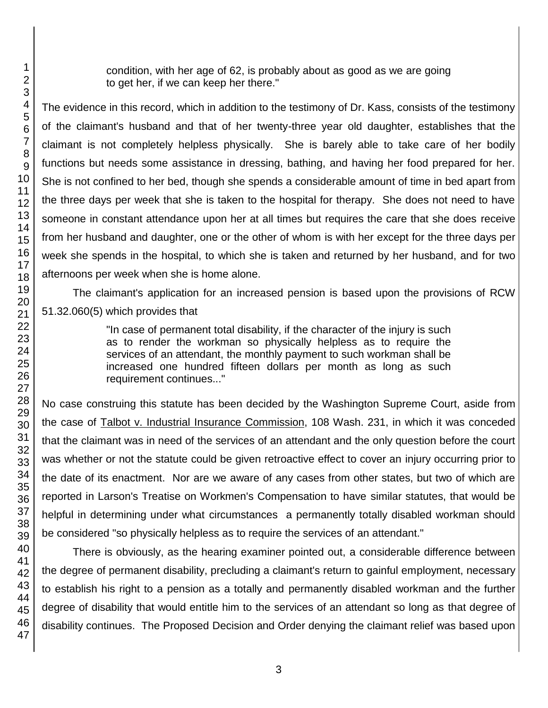condition, with her age of 62, is probably about as good as we are going to get her, if we can keep her there."

The evidence in this record, which in addition to the testimony of Dr. Kass, consists of the testimony of the claimant's husband and that of her twenty-three year old daughter, establishes that the claimant is not completely helpless physically. She is barely able to take care of her bodily functions but needs some assistance in dressing, bathing, and having her food prepared for her. She is not confined to her bed, though she spends a considerable amount of time in bed apart from the three days per week that she is taken to the hospital for therapy. She does not need to have someone in constant attendance upon her at all times but requires the care that she does receive from her husband and daughter, one or the other of whom is with her except for the three days per week she spends in the hospital, to which she is taken and returned by her husband, and for two afternoons per week when she is home alone.

The claimant's application for an increased pension is based upon the provisions of RCW 51.32.060(5) which provides that

> "In case of permanent total disability, if the character of the injury is such as to render the workman so physically helpless as to require the services of an attendant, the monthly payment to such workman shall be increased one hundred fifteen dollars per month as long as such requirement continues..."

No case construing this statute has been decided by the Washington Supreme Court, aside from the case of Talbot v. Industrial Insurance Commission, 108 Wash. 231, in which it was conceded that the claimant was in need of the services of an attendant and the only question before the court was whether or not the statute could be given retroactive effect to cover an injury occurring prior to the date of its enactment. Nor are we aware of any cases from other states, but two of which are reported in Larson's Treatise on Workmen's Compensation to have similar statutes, that would be helpful in determining under what circumstances a permanently totally disabled workman should be considered "so physically helpless as to require the services of an attendant."

There is obviously, as the hearing examiner pointed out, a considerable difference between the degree of permanent disability, precluding a claimant's return to gainful employment, necessary to establish his right to a pension as a totally and permanently disabled workman and the further degree of disability that would entitle him to the services of an attendant so long as that degree of disability continues. The Proposed Decision and Order denying the claimant relief was based upon

1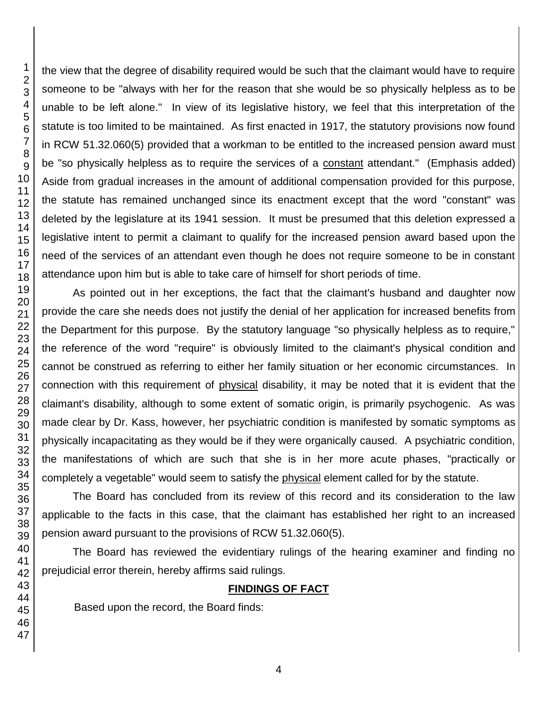the view that the degree of disability required would be such that the claimant would have to require someone to be "always with her for the reason that she would be so physically helpless as to be unable to be left alone." In view of its legislative history, we feel that this interpretation of the statute is too limited to be maintained. As first enacted in 1917, the statutory provisions now found in RCW 51.32.060(5) provided that a workman to be entitled to the increased pension award must be "so physically helpless as to require the services of a constant attendant." (Emphasis added) Aside from gradual increases in the amount of additional compensation provided for this purpose, the statute has remained unchanged since its enactment except that the word "constant" was deleted by the legislature at its 1941 session. It must be presumed that this deletion expressed a legislative intent to permit a claimant to qualify for the increased pension award based upon the need of the services of an attendant even though he does not require someone to be in constant attendance upon him but is able to take care of himself for short periods of time.

As pointed out in her exceptions, the fact that the claimant's husband and daughter now provide the care she needs does not justify the denial of her application for increased benefits from the Department for this purpose. By the statutory language "so physically helpless as to require," the reference of the word "require" is obviously limited to the claimant's physical condition and cannot be construed as referring to either her family situation or her economic circumstances. In connection with this requirement of physical disability, it may be noted that it is evident that the claimant's disability, although to some extent of somatic origin, is primarily psychogenic. As was made clear by Dr. Kass, however, her psychiatric condition is manifested by somatic symptoms as physically incapacitating as they would be if they were organically caused. A psychiatric condition, the manifestations of which are such that she is in her more acute phases, "practically or completely a vegetable" would seem to satisfy the physical element called for by the statute.

The Board has concluded from its review of this record and its consideration to the law applicable to the facts in this case, that the claimant has established her right to an increased pension award pursuant to the provisions of RCW 51.32.060(5).

The Board has reviewed the evidentiary rulings of the hearing examiner and finding no prejudicial error therein, hereby affirms said rulings.

#### **FINDINGS OF FACT**

Based upon the record, the Board finds: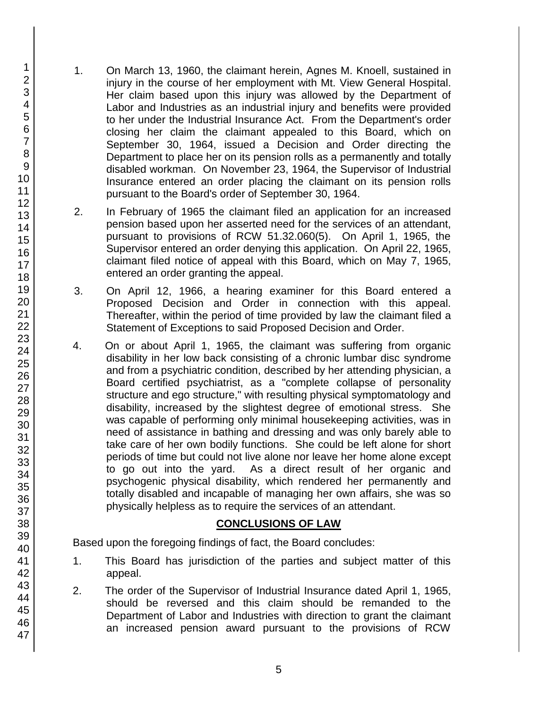- 1. On March 13, 1960, the claimant herein, Agnes M. Knoell, sustained in injury in the course of her employment with Mt. View General Hospital. Her claim based upon this injury was allowed by the Department of Labor and Industries as an industrial injury and benefits were provided to her under the Industrial Insurance Act. From the Department's order closing her claim the claimant appealed to this Board, which on September 30, 1964, issued a Decision and Order directing the Department to place her on its pension rolls as a permanently and totally disabled workman. On November 23, 1964, the Supervisor of Industrial Insurance entered an order placing the claimant on its pension rolls pursuant to the Board's order of September 30, 1964.
- 2. In February of 1965 the claimant filed an application for an increased pension based upon her asserted need for the services of an attendant, pursuant to provisions of RCW 51.32.060(5). On April 1, 1965, the Supervisor entered an order denying this application. On April 22, 1965, claimant filed notice of appeal with this Board, which on May 7, 1965, entered an order granting the appeal.
- 3. On April 12, 1966, a hearing examiner for this Board entered a Proposed Decision and Order in connection with this appeal. Thereafter, within the period of time provided by law the claimant filed a Statement of Exceptions to said Proposed Decision and Order.
- 4. On or about April 1, 1965, the claimant was suffering from organic disability in her low back consisting of a chronic lumbar disc syndrome and from a psychiatric condition, described by her attending physician, a Board certified psychiatrist, as a "complete collapse of personality structure and ego structure," with resulting physical symptomatology and disability, increased by the slightest degree of emotional stress. She was capable of performing only minimal housekeeping activities, was in need of assistance in bathing and dressing and was only barely able to take care of her own bodily functions. She could be left alone for short periods of time but could not live alone nor leave her home alone except to go out into the yard. As a direct result of her organic and psychogenic physical disability, which rendered her permanently and totally disabled and incapable of managing her own affairs, she was so physically helpless as to require the services of an attendant.

#### **CONCLUSIONS OF LAW**

Based upon the foregoing findings of fact, the Board concludes:

- 1. This Board has jurisdiction of the parties and subject matter of this appeal.
- 2. The order of the Supervisor of Industrial Insurance dated April 1, 1965, should be reversed and this claim should be remanded to the Department of Labor and Industries with direction to grant the claimant an increased pension award pursuant to the provisions of RCW